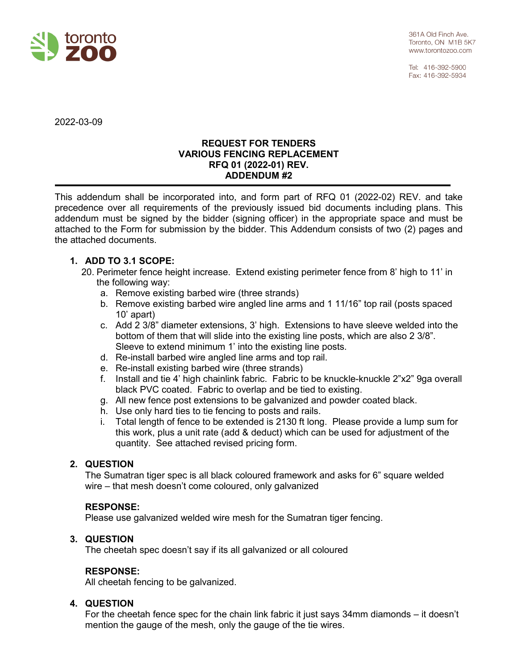

Tel: 416-392-5900 Fax: 416-392-5934

2022-03-09

#### **REQUEST FOR TENDERS VARIOUS FENCING REPLACEMENT RFQ 01 (2022-01) REV. ADDENDUM #2**

This addendum shall be incorporated into, and form part of RFQ 01 (2022-02) REV. and take precedence over all requirements of the previously issued bid documents including plans. This addendum must be signed by the bidder (signing officer) in the appropriate space and must be attached to the Form for submission by the bidder. This Addendum consists of two (2) pages and the attached documents.

## **1. ADD TO 3.1 SCOPE:**

- 20. Perimeter fence height increase. Extend existing perimeter fence from 8' high to 11' in the following way:
	- a. Remove existing barbed wire (three strands)
	- b. Remove existing barbed wire angled line arms and 1 11/16" top rail (posts spaced 10' apart)
	- c. Add 2 3/8" diameter extensions, 3' high. Extensions to have sleeve welded into the bottom of them that will slide into the existing line posts, which are also 2 3/8". Sleeve to extend minimum 1' into the existing line posts.
	- d. Re-install barbed wire angled line arms and top rail.
	- e. Re-install existing barbed wire (three strands)
	- f. Install and tie 4' high chainlink fabric. Fabric to be knuckle-knuckle 2"x2" 9ga overall black PVC coated. Fabric to overlap and be tied to existing.
	- g. All new fence post extensions to be galvanized and powder coated black.
	- h. Use only hard ties to tie fencing to posts and rails.
	- i. Total length of fence to be extended is 2130 ft long. Please provide a lump sum for this work, plus a unit rate (add & deduct) which can be used for adjustment of the quantity. See attached revised pricing form.

## **2. QUESTION**

The Sumatran tiger spec is all black coloured framework and asks for 6" square welded wire – that mesh doesn't come coloured, only galvanized

## **RESPONSE:**

Please use galvanized welded wire mesh for the Sumatran tiger fencing.

## **3. QUESTION**

The cheetah spec doesn't say if its all galvanized or all coloured

## **RESPONSE:**

All cheetah fencing to be galvanized.

## **4. QUESTION**

For the cheetah fence spec for the chain link fabric it just says 34mm diamonds – it doesn't mention the gauge of the mesh, only the gauge of the tie wires.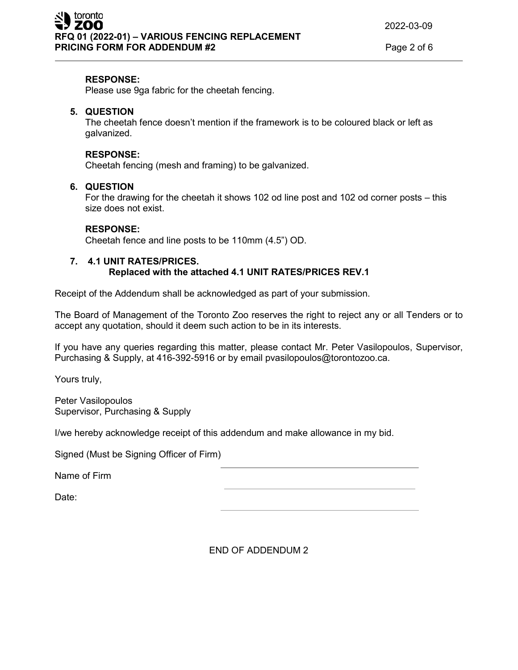#### **RESPONSE:**

Please use 9ga fabric for the cheetah fencing.

### **5. QUESTION**

The cheetah fence doesn't mention if the framework is to be coloured black or left as galvanized.

#### **RESPONSE:**

Cheetah fencing (mesh and framing) to be galvanized.

### **6. QUESTION**

For the drawing for the cheetah it shows 102 od line post and 102 od corner posts – this size does not exist.

#### **RESPONSE:**

Cheetah fence and line posts to be 110mm (4.5") OD.

### **7. 4.1 UNIT RATES/PRICES. Replaced with the attached 4.1 UNIT RATES/PRICES REV.1**

Receipt of the Addendum shall be acknowledged as part of your submission.

The Board of Management of the Toronto Zoo reserves the right to reject any or all Tenders or to accept any quotation, should it deem such action to be in its interests.

If you have any queries regarding this matter, please contact Mr. Peter Vasilopoulos, Supervisor, Purchasing & Supply, at 416-392-5916 or by email pvasilopoulos@torontozoo.ca.

Yours truly,

Peter Vasilopoulos Supervisor, Purchasing & Supply

I/we hereby acknowledge receipt of this addendum and make allowance in my bid.

Signed (Must be Signing Officer of Firm)

Name of Firm

Date:

END OF ADDENDUM 2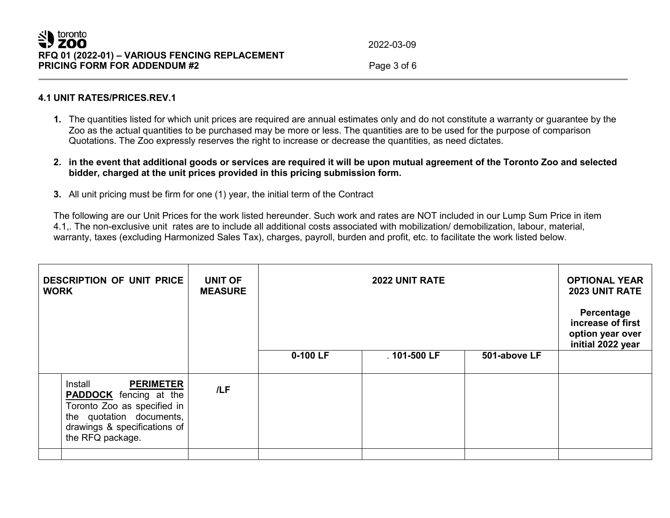2022-03-09

## **4.1 UNIT RATES/PRICES.REV.1**

- **1.** The quantities listed for which unit prices are required are annual estimates only and do not constitute a warranty or guarantee by the Zoo as the actual quantities to be purchased may be more or less. The quantities are to be used for the purpose of comparison Quotations. The Zoo expressly reserves the right to increase or decrease the quantities, as need dictates.
- **2. in the event that additional goods or services are required it will be upon mutual agreement of the Toronto Zoo and selected bidder, charged at the unit prices provided in this pricing submission form.**
- **3.** All unit pricing must be firm for one (1) year, the initial term of the Contract

The following are our Unit Prices for the work listed hereunder. Such work and rates are NOT included in our Lump Sum Price in item 4.1,. The non-exclusive unit rates are to include all additional costs associated with mobilization/ demobilization, labour, material, warranty, taxes (excluding Harmonized Sales Tax), charges, payroll, burden and profit, etc. to facilitate the work listed below.

| <b>DESCRIPTION OF UNIT PRICE</b><br><b>UNIT OF</b><br><b>2022 UNIT RATE</b><br><b>WORK</b><br><b>MEASURE</b>                                                                |     |          | <b>OPTIONAL YEAR</b><br>2023 UNIT RATE<br>Percentage<br>increase of first<br>option year over<br>initial 2022 year |              |  |
|-----------------------------------------------------------------------------------------------------------------------------------------------------------------------------|-----|----------|--------------------------------------------------------------------------------------------------------------------|--------------|--|
|                                                                                                                                                                             |     | 0-100 LF | .101-500 LF                                                                                                        | 501-above LF |  |
| Install<br><b>PERIMETER</b><br><b>PADDOCK</b> fencing at the<br>Toronto Zoo as specified in<br>the quotation documents,<br>drawings & specifications of<br>the RFQ package. | /LF |          |                                                                                                                    |              |  |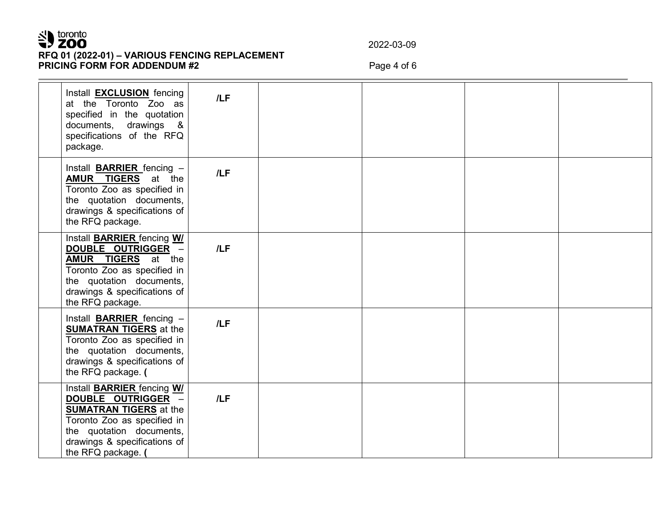# SU toronto **RFQ 01 (2022-01) – VARIOUS FENCING REPLACEMENT PRICING FORM FOR ADDENDUM #2** Page 4 of 6

2022-03-09

| Install <b>EXCLUSION</b> fencing<br>at the Toronto Zoo as<br>specified in the quotation<br>documents, drawings &<br>specifications of the RFQ<br>package.                                                 | /LF |  |  |
|-----------------------------------------------------------------------------------------------------------------------------------------------------------------------------------------------------------|-----|--|--|
| Install <b>BARRIER</b> fencing -<br><b>AMUR TIGERS</b> at the<br>Toronto Zoo as specified in<br>the quotation documents,<br>drawings & specifications of<br>the RFQ package.                              | /LF |  |  |
| Install <b>BARRIER</b> fencing WI<br>DOUBLE OUTRIGGER -<br><b>AMUR TIGERS</b> at the<br>Toronto Zoo as specified in<br>the quotation documents,<br>drawings & specifications of<br>the RFQ package.       | /LF |  |  |
| Install <b>BARRIER</b> fencing -<br><b>SUMATRAN TIGERS</b> at the<br>Toronto Zoo as specified in<br>the quotation documents,<br>drawings & specifications of<br>the RFQ package. (                        | /LF |  |  |
| Install <b>BARRIER</b> fencing WI<br>DOUBLE OUTRIGGER -<br><b>SUMATRAN TIGERS</b> at the<br>Toronto Zoo as specified in<br>the quotation documents,<br>drawings & specifications of<br>the RFQ package. ( | /LF |  |  |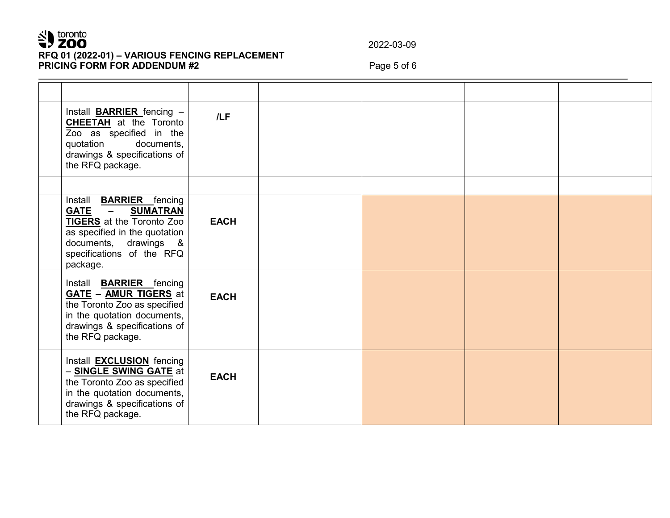# SU toronto **RFQ 01 (2022-01) – VARIOUS FENCING REPLACEMENT PRICING FORM FOR ADDENDUM #2** Page 5 of 6

2022-03-09

| Install <b>BARRIER</b> fencing -<br><b>CHEETAH</b> at the Toronto<br>Zoo as specified in the<br>documents,<br>quotation<br>drawings & specifications of<br>the RFQ package.                                                         | /LF         |  |  |
|-------------------------------------------------------------------------------------------------------------------------------------------------------------------------------------------------------------------------------------|-------------|--|--|
|                                                                                                                                                                                                                                     |             |  |  |
| Install <b>BARRIER</b> fencing<br><b>GATE</b><br><b>SUMATRAN</b><br>$\overline{\phantom{m}}$<br><b>TIGERS</b> at the Toronto Zoo<br>as specified in the quotation<br>documents, drawings &<br>specifications of the RFQ<br>package. | <b>EACH</b> |  |  |
| Install <b>BARRIER</b> fencing<br><b>GATE - AMUR TIGERS</b> at<br>the Toronto Zoo as specified<br>in the quotation documents,<br>drawings & specifications of<br>the RFQ package.                                                   | <b>EACH</b> |  |  |
| Install <b>EXCLUSION</b> fencing<br>- <b>SINGLE SWING GATE</b> at<br>the Toronto Zoo as specified<br>in the quotation documents,<br>drawings & specifications of<br>the RFQ package.                                                | <b>EACH</b> |  |  |